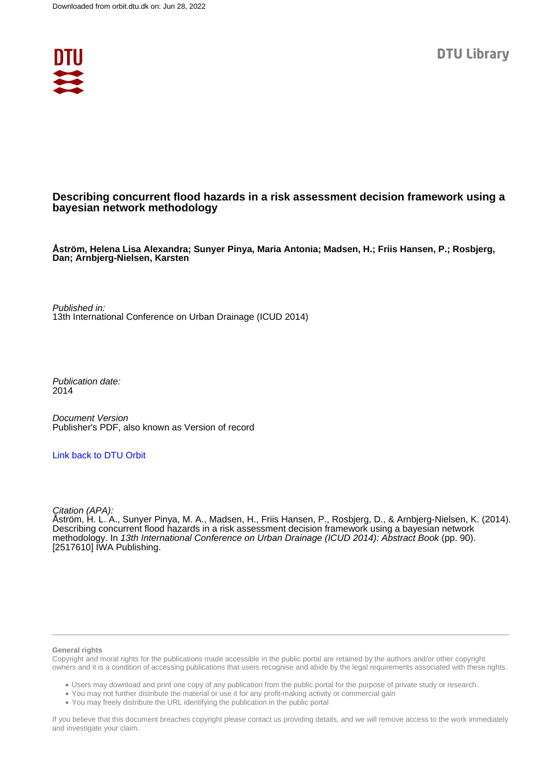

# **Describing concurrent flood hazards in a risk assessment decision framework using a bayesian network methodology**

**Åström, Helena Lisa Alexandra; Sunyer Pinya, Maria Antonia; Madsen, H.; Friis Hansen, P.; Rosbjerg, Dan; Arnbjerg-Nielsen, Karsten**

Published in: 13th International Conference on Urban Drainage (ICUD 2014)

Publication date: 2014

Document Version Publisher's PDF, also known as Version of record

[Link back to DTU Orbit](https://orbit.dtu.dk/en/publications/d539593f-95fe-41a6-bbf6-b174f2886de1)

Citation (APA):

Åström, H. L. A., Sunyer Pinya, M. A., Madsen, H., Friis Hansen, P., Rosbjerg, D., & Arnbjerg-Nielsen, K. (2014). Describing concurrent flood hazards in a risk assessment decision framework using a bayesian network methodology. In 13th International Conference on Urban Drainage (ICUD 2014): Abstract Book (pp. 90). [2517610] IWA Publishing.

## **General rights**

Copyright and moral rights for the publications made accessible in the public portal are retained by the authors and/or other copyright owners and it is a condition of accessing publications that users recognise and abide by the legal requirements associated with these rights.

Users may download and print one copy of any publication from the public portal for the purpose of private study or research.

- You may not further distribute the material or use it for any profit-making activity or commercial gain
- You may freely distribute the URL identifying the publication in the public portal

If you believe that this document breaches copyright please contact us providing details, and we will remove access to the work immediately and investigate your claim.